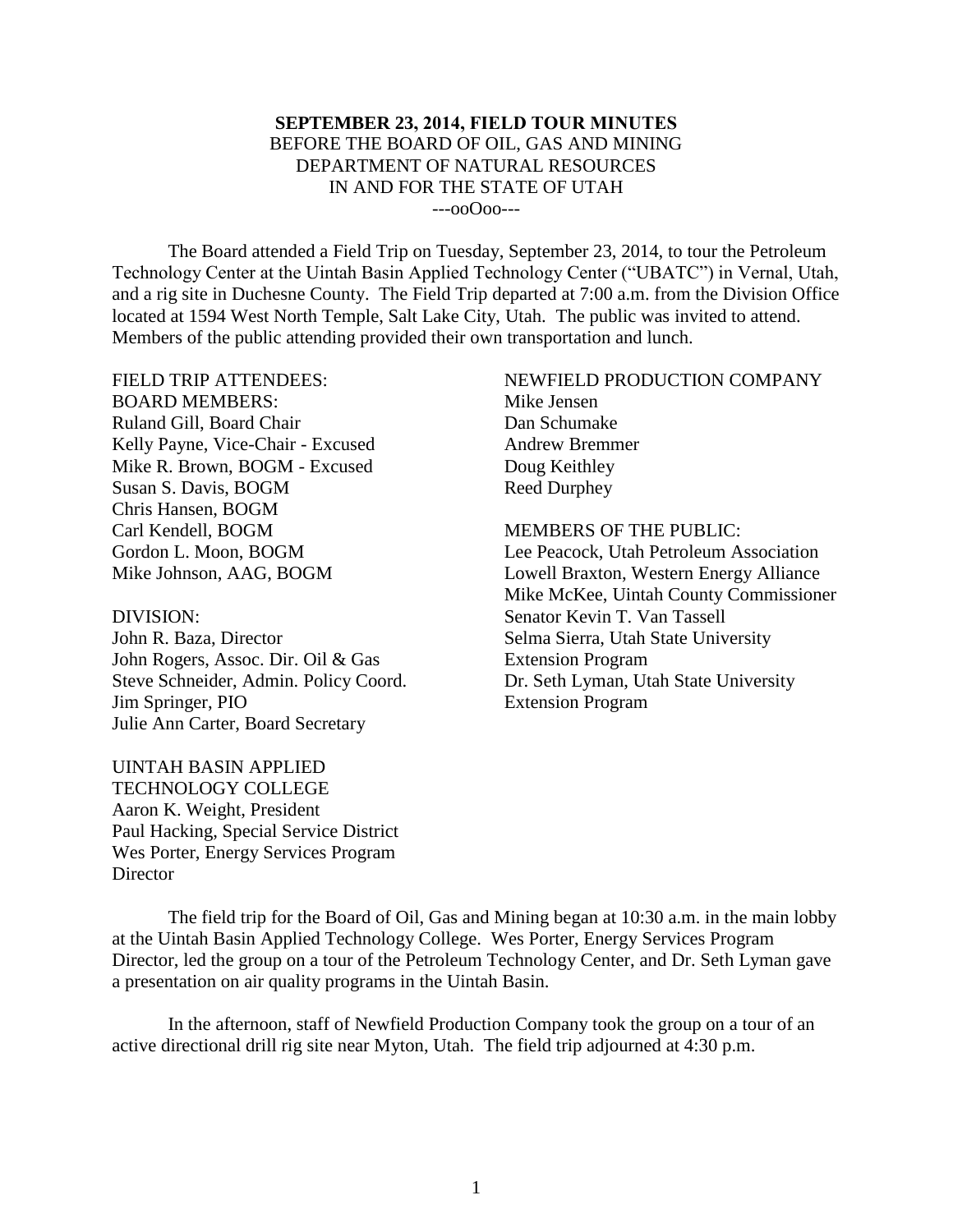### **SEPTEMBER 23, 2014, FIELD TOUR MINUTES** BEFORE THE BOARD OF OIL, GAS AND MINING DEPARTMENT OF NATURAL RESOURCES IN AND FOR THE STATE OF UTAH ---ooOoo---

The Board attended a Field Trip on Tuesday, September 23, 2014, to tour the Petroleum Technology Center at the Uintah Basin Applied Technology Center ("UBATC") in Vernal, Utah, and a rig site in Duchesne County. The Field Trip departed at 7:00 a.m. from the Division Office located at 1594 West North Temple, Salt Lake City, Utah. The public was invited to attend. Members of the public attending provided their own transportation and lunch.

FIELD TRIP ATTENDEES: BOARD MEMBERS: Ruland Gill, Board Chair Kelly Payne, Vice-Chair - Excused Mike R. Brown, BOGM - Excused Susan S. Davis, BOGM Chris Hansen, BOGM Carl Kendell, BOGM Gordon L. Moon, BOGM Mike Johnson, AAG, BOGM

DIVISION: John R. Baza, Director John Rogers, Assoc. Dir. Oil & Gas Steve Schneider, Admin. Policy Coord. Jim Springer, PIO Julie Ann Carter, Board Secretary

UINTAH BASIN APPLIED TECHNOLOGY COLLEGE Aaron K. Weight, President Paul Hacking, Special Service District Wes Porter, Energy Services Program **Director** 

# NEWFIELD PRODUCTION COMPANY Mike Jensen

Dan Schumake Andrew Bremmer Doug Keithley Reed Durphey

#### MEMBERS OF THE PUBLIC:

Lee Peacock, Utah Petroleum Association Lowell Braxton, Western Energy Alliance Mike McKee, Uintah County Commissioner Senator Kevin T. Van Tassell Selma Sierra, Utah State University Extension Program Dr. Seth Lyman, Utah State University Extension Program

The field trip for the Board of Oil, Gas and Mining began at 10:30 a.m. in the main lobby at the Uintah Basin Applied Technology College. Wes Porter, Energy Services Program Director, led the group on a tour of the Petroleum Technology Center, and Dr. Seth Lyman gave a presentation on air quality programs in the Uintah Basin.

In the afternoon, staff of Newfield Production Company took the group on a tour of an active directional drill rig site near Myton, Utah. The field trip adjourned at 4:30 p.m.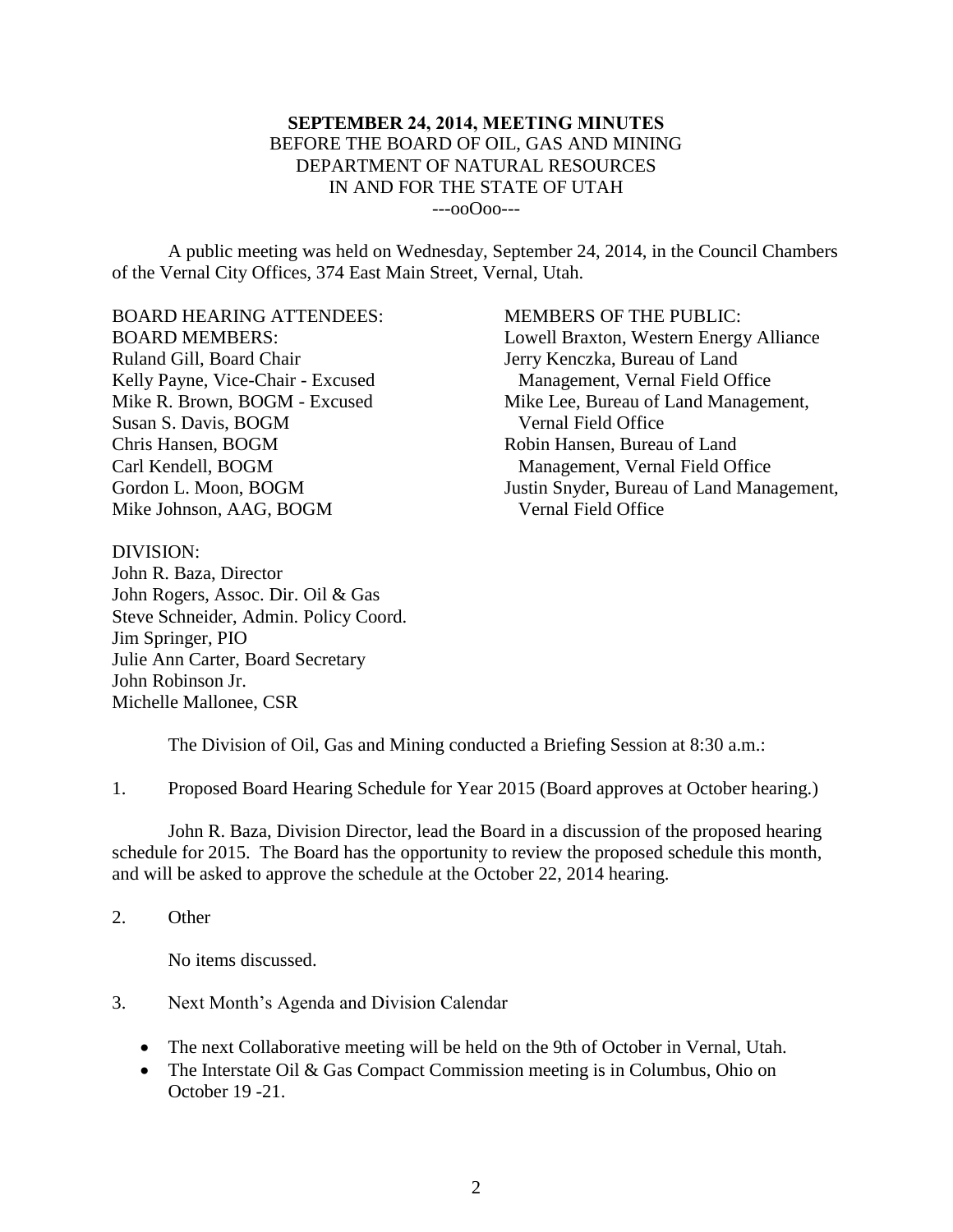### **SEPTEMBER 24, 2014, MEETING MINUTES** BEFORE THE BOARD OF OIL, GAS AND MINING DEPARTMENT OF NATURAL RESOURCES IN AND FOR THE STATE OF UTAH ---ooOoo---

A public meeting was held on Wednesday, September 24, 2014, in the Council Chambers of the Vernal City Offices, 374 East Main Street, Vernal, Utah.

BOARD HEARING ATTENDEES: BOARD MEMBERS: Ruland Gill, Board Chair Kelly Payne, Vice-Chair - Excused Mike R. Brown, BOGM - Excused Susan S. Davis, BOGM Chris Hansen, BOGM Carl Kendell, BOGM Gordon L. Moon, BOGM Mike Johnson, AAG, BOGM

MEMBERS OF THE PUBLIC: Lowell Braxton, Western Energy Alliance Jerry Kenczka, Bureau of Land Management, Vernal Field Office Mike Lee, Bureau of Land Management, Vernal Field Office Robin Hansen, Bureau of Land Management, Vernal Field Office Justin Snyder, Bureau of Land Management, Vernal Field Office

DIVISION: John R. Baza, Director John Rogers, Assoc. Dir. Oil & Gas Steve Schneider, Admin. Policy Coord. Jim Springer, PIO Julie Ann Carter, Board Secretary John Robinson Jr. Michelle Mallonee, CSR

The Division of Oil, Gas and Mining conducted a Briefing Session at 8:30 a.m.:

1. Proposed Board Hearing Schedule for Year 2015 (Board approves at October hearing.)

John R. Baza, Division Director, lead the Board in a discussion of the proposed hearing schedule for 2015. The Board has the opportunity to review the proposed schedule this month, and will be asked to approve the schedule at the October 22, 2014 hearing.

2. Other

No items discussed.

- 3. Next Month's Agenda and Division Calendar
	- The next Collaborative meeting will be held on the 9th of October in Vernal, Utah.
	- The Interstate Oil & Gas Compact Commission meeting is in Columbus, Ohio on October 19 -21.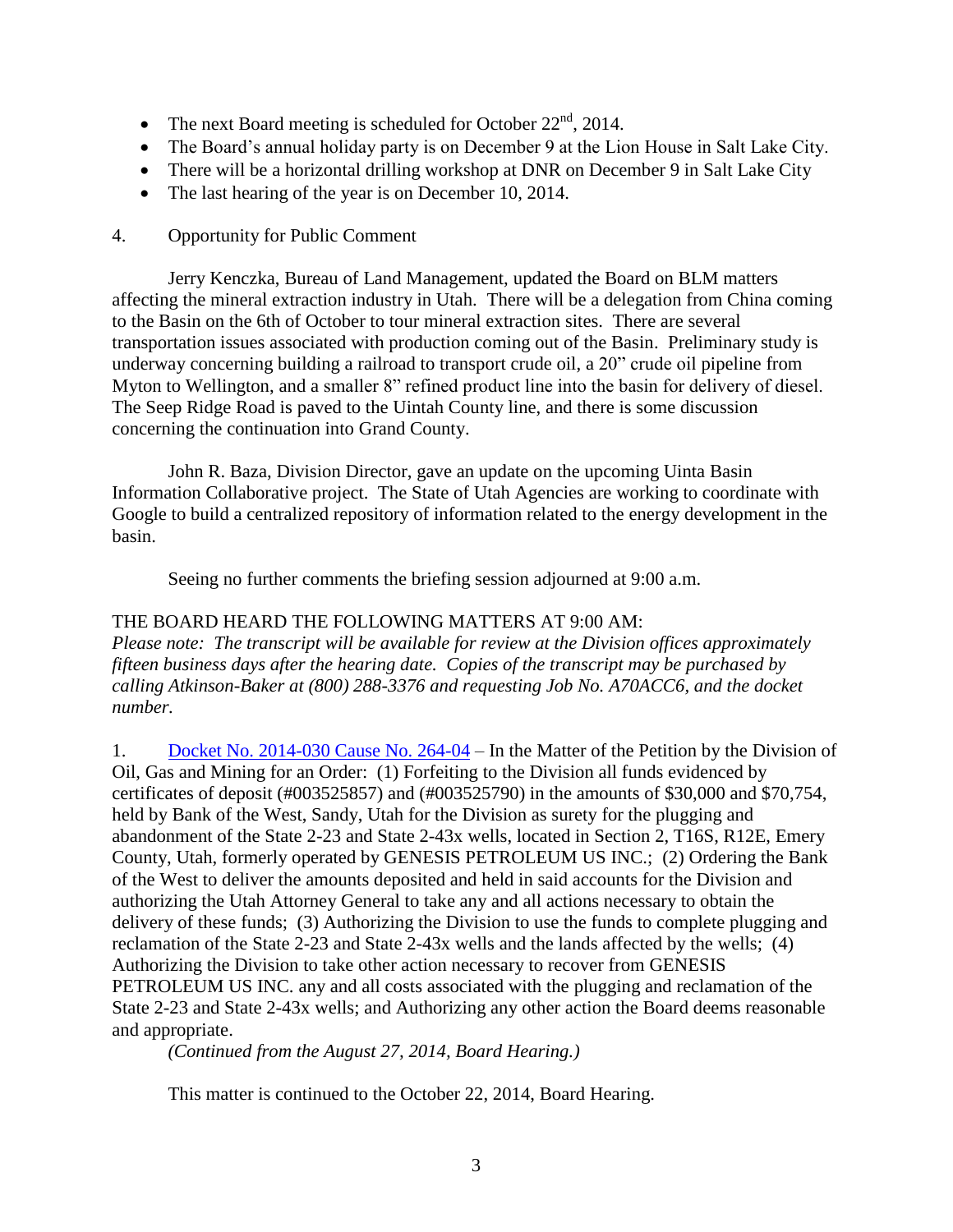- The next Board meeting is scheduled for October  $22<sup>nd</sup>$ , 2014.
- The Board's annual holiday party is on December 9 at the Lion House in Salt Lake City.
- There will be a horizontal drilling workshop at DNR on December 9 in Salt Lake City
- The last hearing of the year is on December 10, 2014.

## 4. Opportunity for Public Comment

Jerry Kenczka, Bureau of Land Management, updated the Board on BLM matters affecting the mineral extraction industry in Utah. There will be a delegation from China coming to the Basin on the 6th of October to tour mineral extraction sites. There are several transportation issues associated with production coming out of the Basin. Preliminary study is underway concerning building a railroad to transport crude oil, a 20" crude oil pipeline from Myton to Wellington, and a smaller 8" refined product line into the basin for delivery of diesel. The Seep Ridge Road is paved to the Uintah County line, and there is some discussion concerning the continuation into Grand County.

John R. Baza, Division Director, gave an update on the upcoming Uinta Basin Information Collaborative project. The State of Utah Agencies are working to coordinate with Google to build a centralized repository of information related to the energy development in the basin.

Seeing no further comments the briefing session adjourned at 9:00 a.m.

## THE BOARD HEARD THE FOLLOWING MATTERS AT 9:00 AM:

*Please note: The transcript will be available for review at the Division offices approximately fifteen business days after the hearing date. Copies of the transcript may be purchased by calling Atkinson-Baker at (800) 288-3376 and requesting Job No. A70ACC6, and the docket number.*

1. [Docket No. 2014-030](http://ogm.utah.gov/amr/boardtemp/redesign/2014/09_Sep/Dockets/2014-030_264-04_Genesis.html) Cause No. 264-04 – In the Matter of the Petition by the Division of Oil, Gas and Mining for an Order: (1) Forfeiting to the Division all funds evidenced by certificates of deposit (#003525857) and (#003525790) in the amounts of \$30,000 and \$70,754, held by Bank of the West, Sandy, Utah for the Division as surety for the plugging and abandonment of the State 2-23 and State 2-43x wells, located in Section 2, T16S, R12E, Emery County, Utah, formerly operated by GENESIS PETROLEUM US INC.; (2) Ordering the Bank of the West to deliver the amounts deposited and held in said accounts for the Division and authorizing the Utah Attorney General to take any and all actions necessary to obtain the delivery of these funds; (3) Authorizing the Division to use the funds to complete plugging and reclamation of the State 2-23 and State 2-43x wells and the lands affected by the wells; (4) Authorizing the Division to take other action necessary to recover from GENESIS PETROLEUM US INC. any and all costs associated with the plugging and reclamation of the State 2-23 and State 2-43x wells; and Authorizing any other action the Board deems reasonable and appropriate.

*(Continued from the August 27, 2014, Board Hearing.)*

This matter is continued to the October 22, 2014, Board Hearing.